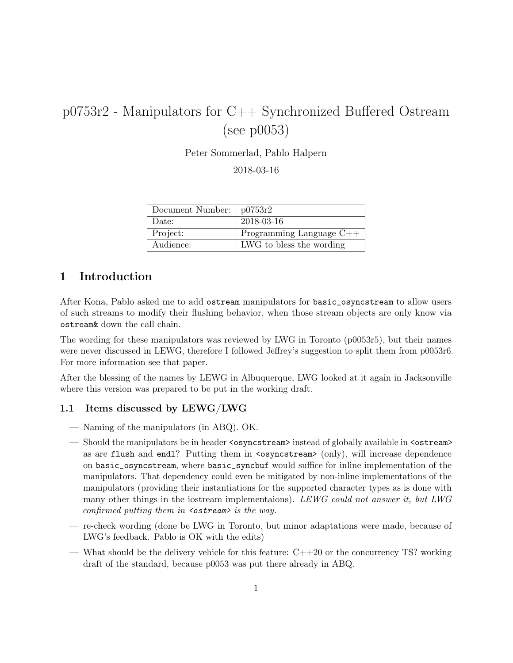# p0753r2 - Manipulators for C++ Synchronized Buffered Ostream (see p0053)

Peter Sommerlad, Pablo Halpern

2018-03-16

| Document Number: | p0753r2                    |
|------------------|----------------------------|
| Date:            | 2018-03-16                 |
| Project:         | Programming Language $C++$ |
| Audience:        | LWG to bless the wording   |

## 1 Introduction

After Kona, Pablo asked me to add ostream manipulators for basic\_osyncstream to allow users of such streams to modify their flushing behavior, when those stream objects are only know via ostream& down the call chain.

The wording for these manipulators was reviewed by LWG in Toronto (p0053r5), but their names were never discussed in LEWG, therefore I followed Jeffrey's suggestion to split them from p0053r6. For more information see that paper.

After the blessing of the names by LEWG in Albuquerque, LWG looked at it again in Jacksonville where this version was prepared to be put in the working draft.

#### 1.1 Items discussed by LEWG/LWG

- Naming of the manipulators (in ABQ). OK.
- Should the manipulators be in header <osyncstream> instead of globally available in <ostream> as are flush and endl? Putting them in <osyncstream> (only), will increase dependence on basic\_osyncstream, where basic\_syncbuf would suffice for inline implementation of the manipulators. That dependency could even be mitigated by non-inline implementations of the manipulators (providing their instantiations for the supported character types as is done with many other things in the iostream implementaions). LEWG could not answer it, but LWG confirmed putting them in  $\leq$ ostream> is the way.
- re-check wording (done be LWG in Toronto, but minor adaptations were made, because of LWG's feedback. Pablo is OK with the edits)
- What should be the delivery vehicle for this feature:  $C++20$  or the concurrency TS? working draft of the standard, because p0053 was put there already in ABQ.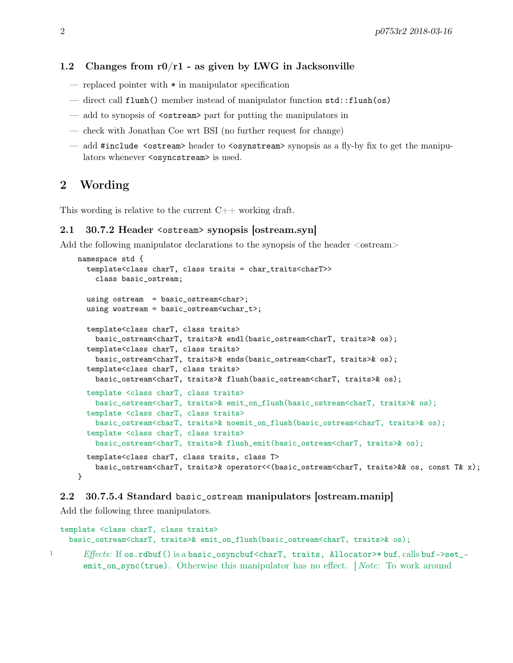### 1.2 Changes from  $r0/r1$  - as given by LWG in Jacksonville

- replaced pointer with \* in manipulator specification
- direct call flush() member instead of manipulator function std::flush(os)
- add to synopsis of  $\leq$  ostream> part for putting the manipulators in
- check with Jonathan Coe wrt BSI (no further request for change)
- add #include  $\leq$ ostream> header to  $\leq$ osynstream> synopsis as a fly-by fix to get the manipulators whenever <osyncstream> is used.

## 2 Wording

This wording is relative to the current  $C_{++}$  working draft.

#### 2.1 30.7.2 Header <ostream> synopsis [ostream.syn]

Add the following manipulator declarations to the synopsis of the header  $\leq$ ostream $>$ 

```
namespace std {
  template<class charT, class traits = char_traits<charT>>
    class basic_ostream;
  using ostream = basic_ostream<char>;
  using wostream = basic_ostream<wchar_t>;
  template<class charT, class traits>
    basic_ostream<charT, traits>& endl(basic_ostream<charT, traits>& os);
  template<class charT, class traits>
    basic_ostream<charT, traits>& ends(basic_ostream<charT, traits>& os);
  template<class charT, class traits>
    basic_ostream<charT, traits>& flush(basic_ostream<charT, traits>& os);
  template <class charT, class traits>
    basic_ostream<charT, traits>& emit_on_flush(basic_ostream<charT, traits>& os);
  template <class charT, class traits>
    basic_ostream<charT, traits>& noemit_on_flush(basic_ostream<charT, traits>& os);
  template <class charT, class traits>
    basic_ostream<charT, traits>& flush_emit(basic_ostream<charT, traits>& os);
  template<class charT, class traits, class T>
    basic_ostream<charT, traits>& operator<<(basic_ostream<charT, traits>&& os, const T& x);
}
```
### 2.2 30.7.5.4 Standard basic\_ostream manipulators [ostream.manip]

Add the following three manipulators.

```
template <class charT, class traits>
  basic_ostream<charT, traits>& emit_on_flush(basic_ostream<charT, traits>& os);
```
<sup>1</sup> Effects: If os.rdbuf() is a basic\_osyncbuf <charT, traits, Allocator>\* buf, calls buf->set\_emit\_on\_sync(true). Otherwise this manipulator has no effect. [*Note:* To work around